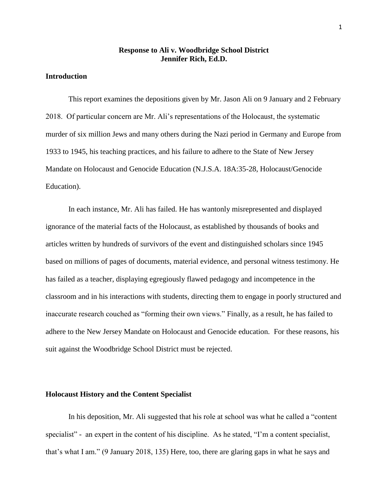# **Response to Ali v. Woodbridge School District Jennifer Rich, Ed.D.**

#### **Introduction**

This report examines the depositions given by Mr. Jason Ali on 9 January and 2 February 2018. Of particular concern are Mr. Ali's representations of the Holocaust, the systematic murder of six million Jews and many others during the Nazi period in Germany and Europe from 1933 to 1945, his teaching practices, and his failure to adhere to the State of New Jersey Mandate on Holocaust and Genocide Education (N.J.S.A. 18A:35-28, Holocaust/Genocide Education).

In each instance, Mr. Ali has failed. He has wantonly misrepresented and displayed ignorance of the material facts of the Holocaust, as established by thousands of books and articles written by hundreds of survivors of the event and distinguished scholars since 1945 based on millions of pages of documents, material evidence, and personal witness testimony. He has failed as a teacher, displaying egregiously flawed pedagogy and incompetence in the classroom and in his interactions with students, directing them to engage in poorly structured and inaccurate research couched as "forming their own views." Finally, as a result, he has failed to adhere to the New Jersey Mandate on Holocaust and Genocide education. For these reasons, his suit against the Woodbridge School District must be rejected.

#### **Holocaust History and the Content Specialist**

In his deposition, Mr. Ali suggested that his role at school was what he called a "content specialist" - an expert in the content of his discipline. As he stated, "I'm a content specialist, that's what I am." (9 January 2018, 135) Here, too, there are glaring gaps in what he says and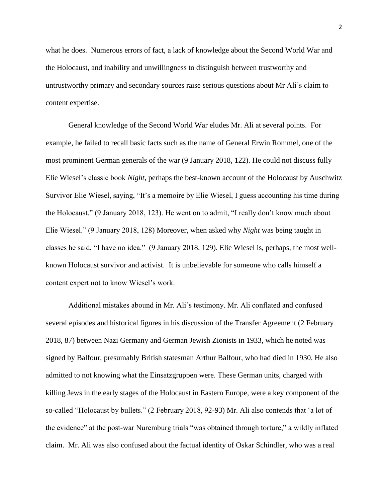what he does. Numerous errors of fact, a lack of knowledge about the Second World War and the Holocaust, and inability and unwillingness to distinguish between trustworthy and untrustworthy primary and secondary sources raise serious questions about Mr Ali's claim to content expertise.

General knowledge of the Second World War eludes Mr. Ali at several points. For example, he failed to recall basic facts such as the name of General Erwin Rommel, one of the most prominent German generals of the war (9 January 2018, 122). He could not discuss fully Elie Wiesel's classic book *Night*, perhaps the best-known account of the Holocaust by Auschwitz Survivor Elie Wiesel, saying, "It's a memoire by Elie Wiesel, I guess accounting his time during the Holocaust." (9 January 2018, 123). He went on to admit, "I really don't know much about Elie Wiesel." (9 January 2018, 128) Moreover, when asked why *Night* was being taught in classes he said, "I have no idea." (9 January 2018, 129). Elie Wiesel is, perhaps, the most wellknown Holocaust survivor and activist. It is unbelievable for someone who calls himself a content expert not to know Wiesel's work.

Additional mistakes abound in Mr. Ali's testimony. Mr. Ali conflated and confused several episodes and historical figures in his discussion of the Transfer Agreement (2 February 2018, 87) between Nazi Germany and German Jewish Zionists in 1933, which he noted was signed by Balfour, presumably British statesman Arthur Balfour, who had died in 1930. He also admitted to not knowing what the Einsatzgruppen were. These German units, charged with killing Jews in the early stages of the Holocaust in Eastern Europe, were a key component of the so-called "Holocaust by bullets." (2 February 2018, 92-93) Mr. Ali also contends that 'a lot of the evidence" at the post-war Nuremburg trials "was obtained through torture," a wildly inflated claim. Mr. Ali was also confused about the factual identity of Oskar Schindler, who was a real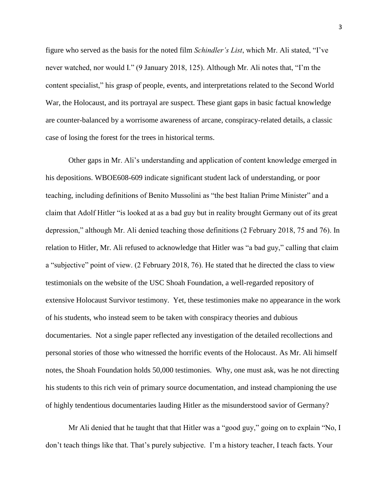figure who served as the basis for the noted film *Schindler's List*, which Mr. Ali stated, "I've never watched, nor would I." (9 January 2018, 125). Although Mr. Ali notes that, "I'm the content specialist," his grasp of people, events, and interpretations related to the Second World War, the Holocaust, and its portrayal are suspect. These giant gaps in basic factual knowledge are counter-balanced by a worrisome awareness of arcane, conspiracy-related details, a classic case of losing the forest for the trees in historical terms.

Other gaps in Mr. Ali's understanding and application of content knowledge emerged in his depositions. WBOE608-609 indicate significant student lack of understanding, or poor teaching, including definitions of Benito Mussolini as "the best Italian Prime Minister" and a claim that Adolf Hitler "is looked at as a bad guy but in reality brought Germany out of its great depression," although Mr. Ali denied teaching those definitions (2 February 2018, 75 and 76). In relation to Hitler, Mr. Ali refused to acknowledge that Hitler was "a bad guy," calling that claim a "subjective" point of view. (2 February 2018, 76). He stated that he directed the class to view testimonials on the website of the USC Shoah Foundation, a well-regarded repository of extensive Holocaust Survivor testimony. Yet, these testimonies make no appearance in the work of his students, who instead seem to be taken with conspiracy theories and dubious documentaries. Not a single paper reflected any investigation of the detailed recollections and personal stories of those who witnessed the horrific events of the Holocaust. As Mr. Ali himself notes, the Shoah Foundation holds 50,000 testimonies. Why, one must ask, was he not directing his students to this rich vein of primary source documentation, and instead championing the use of highly tendentious documentaries lauding Hitler as the misunderstood savior of Germany?

Mr Ali denied that he taught that that Hitler was a "good guy," going on to explain "No, I don't teach things like that. That's purely subjective. I'm a history teacher, I teach facts. Your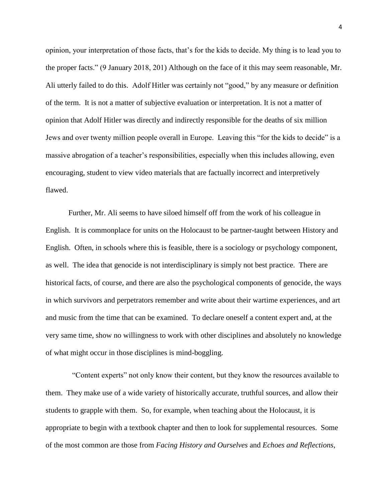opinion, your interpretation of those facts, that's for the kids to decide. My thing is to lead you to the proper facts." (9 January 2018, 201) Although on the face of it this may seem reasonable, Mr. Ali utterly failed to do this. Adolf Hitler was certainly not "good," by any measure or definition of the term. It is not a matter of subjective evaluation or interpretation. It is not a matter of opinion that Adolf Hitler was directly and indirectly responsible for the deaths of six million Jews and over twenty million people overall in Europe. Leaving this "for the kids to decide" is a massive abrogation of a teacher's responsibilities, especially when this includes allowing, even encouraging, student to view video materials that are factually incorrect and interpretively flawed.

Further, Mr. Ali seems to have siloed himself off from the work of his colleague in English. It is commonplace for units on the Holocaust to be partner-taught between History and English. Often, in schools where this is feasible, there is a sociology or psychology component, as well. The idea that genocide is not interdisciplinary is simply not best practice. There are historical facts, of course, and there are also the psychological components of genocide, the ways in which survivors and perpetrators remember and write about their wartime experiences, and art and music from the time that can be examined. To declare oneself a content expert and, at the very same time, show no willingness to work with other disciplines and absolutely no knowledge of what might occur in those disciplines is mind-boggling.

 "Content experts" not only know their content, but they know the resources available to them. They make use of a wide variety of historically accurate, truthful sources, and allow their students to grapple with them. So, for example, when teaching about the Holocaust, it is appropriate to begin with a textbook chapter and then to look for supplemental resources. Some of the most common are those from *Facing History and Ourselves* and *Echoes and Reflections*,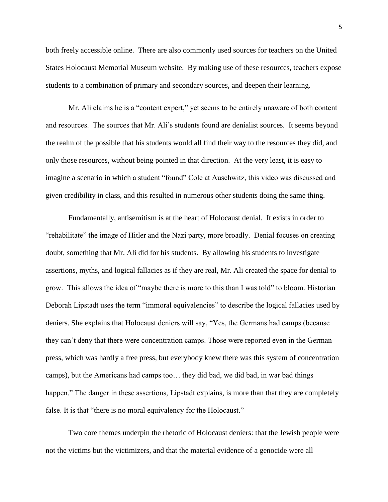both freely accessible online. There are also commonly used sources for teachers on the United States Holocaust Memorial Museum website. By making use of these resources, teachers expose students to a combination of primary and secondary sources, and deepen their learning.

Mr. Ali claims he is a "content expert," yet seems to be entirely unaware of both content and resources. The sources that Mr. Ali's students found are denialist sources. It seems beyond the realm of the possible that his students would all find their way to the resources they did, and only those resources, without being pointed in that direction. At the very least, it is easy to imagine a scenario in which a student "found" Cole at Auschwitz, this video was discussed and given credibility in class, and this resulted in numerous other students doing the same thing.

Fundamentally, antisemitism is at the heart of Holocaust denial. It exists in order to "rehabilitate" the image of Hitler and the Nazi party, more broadly. Denial focuses on creating doubt, something that Mr. Ali did for his students. By allowing his students to investigate assertions, myths, and logical fallacies as if they are real, Mr. Ali created the space for denial to grow. This allows the idea of "maybe there is more to this than I was told" to bloom. Historian Deborah Lipstadt uses the term "immoral equivalencies" to describe the logical fallacies used by deniers. She explains that Holocaust deniers will say, "Yes, the Germans had camps (because they can't deny that there were concentration camps. Those were reported even in the German press, which was hardly a free press, but everybody knew there was this system of concentration camps), but the Americans had camps too… they did bad, we did bad, in war bad things happen." The danger in these assertions, Lipstadt explains, is more than that they are completely false. It is that "there is no moral equivalency for the Holocaust."

Two core themes underpin the rhetoric of Holocaust deniers: that the Jewish people were not the victims but the victimizers, and that the material evidence of a genocide were all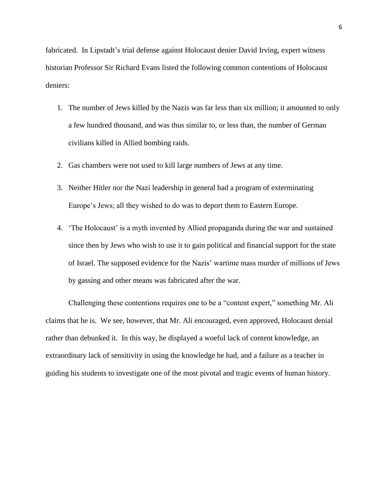fabricated. In Lipstadt's trial defense against Holocaust denier David Irving, expert witness historian Professor Sir Richard Evans listed the following common contentions of Holocaust deniers:

- 1. The number of Jews killed by the Nazis was far less than six million; it amounted to only a few hundred thousand, and was thus similar to, or less than, the number of German civilians killed in Allied bombing raids.
- 2. Gas chambers were not used to kill large numbers of Jews at any time.
- 3. Neither Hitler nor the Nazi leadership in general had a program of exterminating Europe's Jews; all they wished to do was to deport them to Eastern Europe.
- 4. 'The Holocaust' is a myth invented by Allied propaganda during the war and sustained since then by Jews who wish to use it to gain political and financial support for the state of Israel. The supposed evidence for the Nazis' wartime mass murder of millions of Jews by gassing and other means was fabricated after the war.

Challenging these contentions requires one to be a "content expert," something Mr. Ali claims that he is. We see, however, that Mr. Ali encouraged, even approved, Holocaust denial rather than debunked it. In this way, he displayed a woeful lack of content knowledge, an extraordinary lack of sensitivity in using the knowledge he had, and a failure as a teacher in guiding his students to investigate one of the most pivotal and tragic events of human history.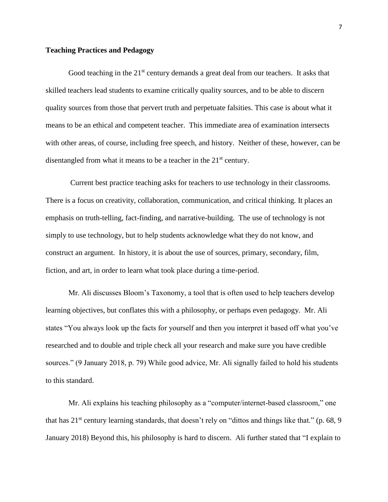## **Teaching Practices and Pedagogy**

Good teaching in the  $21<sup>st</sup>$  century demands a great deal from our teachers. It asks that skilled teachers lead students to examine critically quality sources, and to be able to discern quality sources from those that pervert truth and perpetuate falsities. This case is about what it means to be an ethical and competent teacher. This immediate area of examination intersects with other areas, of course, including free speech, and history. Neither of these, however, can be disentangled from what it means to be a teacher in the 21<sup>st</sup> century.

Current best practice teaching asks for teachers to use technology in their classrooms. There is a focus on creativity, collaboration, communication, and critical thinking. It places an emphasis on truth-telling, fact-finding, and narrative-building. The use of technology is not simply to use technology, but to help students acknowledge what they do not know, and construct an argument. In history, it is about the use of sources, primary, secondary, film, fiction, and art, in order to learn what took place during a time-period.

Mr. Ali discusses Bloom's Taxonomy, a tool that is often used to help teachers develop learning objectives, but conflates this with a philosophy, or perhaps even pedagogy. Mr. Ali states "You always look up the facts for yourself and then you interpret it based off what you've researched and to double and triple check all your research and make sure you have credible sources." (9 January 2018, p. 79) While good advice, Mr. Ali signally failed to hold his students to this standard.

Mr. Ali explains his teaching philosophy as a "computer/internet-based classroom," one that has  $21<sup>st</sup>$  century learning standards, that doesn't rely on "dittos and things like that." (p. 68, 9) January 2018) Beyond this, his philosophy is hard to discern. Ali further stated that "I explain to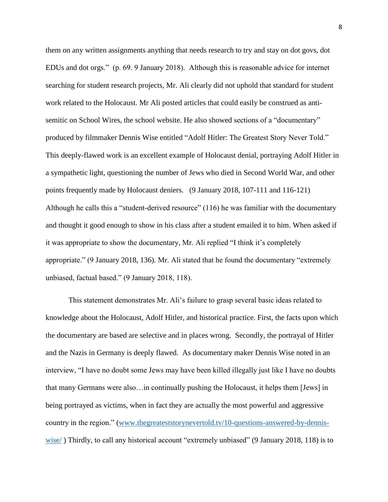them on any written assignments anything that needs research to try and stay on dot govs, dot EDUs and dot orgs." (p. 69. 9 January 2018). Although this is reasonable advice for internet searching for student research projects, Mr. Ali clearly did not uphold that standard for student work related to the Holocaust. Mr Ali posted articles that could easily be construed as antisemitic on School Wires, the school website. He also showed sections of a "documentary" produced by filmmaker Dennis Wise entitled "Adolf Hitler: The Greatest Story Never Told." This deeply-flawed work is an excellent example of Holocaust denial, portraying Adolf Hitler in a sympathetic light, questioning the number of Jews who died in Second World War, and other points frequently made by Holocaust deniers. (9 January 2018, 107-111 and 116-121) Although he calls this a "student-derived resource" (116) he was familiar with the documentary and thought it good enough to show in his class after a student emailed it to him. When asked if it was appropriate to show the documentary, Mr. Ali replied "I think it's completely appropriate." (9 January 2018, 136). Mr. Ali stated that he found the documentary "extremely unbiased, factual based." (9 January 2018, 118).

This statement demonstrates Mr. Ali's failure to grasp several basic ideas related to knowledge about the Holocaust, Adolf Hitler, and historical practice. First, the facts upon which the documentary are based are selective and in places wrong. Secondly, the portrayal of Hitler and the Nazis in Germany is deeply flawed. As documentary maker Dennis Wise noted in an interview, "I have no doubt some Jews may have been killed illegally just like I have no doubts that many Germans were also…in continually pushing the Holocaust, it helps them [Jews] in being portrayed as victims, when in fact they are actually the most powerful and aggressive country in the region." [\(www.thegreateststorynevertold.tv/10-questions-answered-by-dennis](http://www.thegreateststorynevertold.tv/10-questions-answered-by-dennis-wise/)[wise/](http://www.thegreateststorynevertold.tv/10-questions-answered-by-dennis-wise/) ) Thirdly, to call any historical account "extremely unbiased" (9 January 2018, 118) is to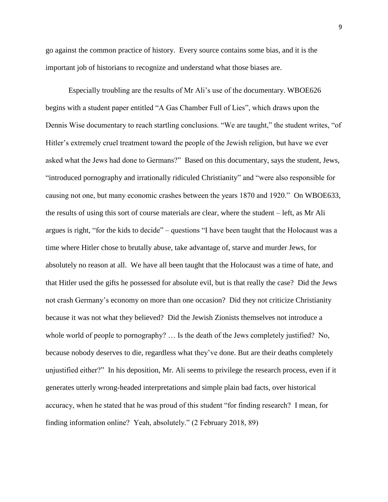go against the common practice of history. Every source contains some bias, and it is the important job of historians to recognize and understand what those biases are.

Especially troubling are the results of Mr Ali's use of the documentary. WBOE626 begins with a student paper entitled "A Gas Chamber Full of Lies", which draws upon the Dennis Wise documentary to reach startling conclusions. "We are taught," the student writes, "of Hitler's extremely cruel treatment toward the people of the Jewish religion, but have we ever asked what the Jews had done to Germans?" Based on this documentary, says the student, Jews, "introduced pornography and irrationally ridiculed Christianity" and "were also responsible for causing not one, but many economic crashes between the years 1870 and 1920." On WBOE633, the results of using this sort of course materials are clear, where the student – left, as Mr Ali argues is right, "for the kids to decide" – questions "I have been taught that the Holocaust was a time where Hitler chose to brutally abuse, take advantage of, starve and murder Jews, for absolutely no reason at all. We have all been taught that the Holocaust was a time of hate, and that Hitler used the gifts he possessed for absolute evil, but is that really the case? Did the Jews not crash Germany's economy on more than one occasion? Did they not criticize Christianity because it was not what they believed? Did the Jewish Zionists themselves not introduce a whole world of people to pornography? … Is the death of the Jews completely justified? No, because nobody deserves to die, regardless what they've done. But are their deaths completely unjustified either?" In his deposition, Mr. Ali seems to privilege the research process, even if it generates utterly wrong-headed interpretations and simple plain bad facts, over historical accuracy, when he stated that he was proud of this student "for finding research? I mean, for finding information online? Yeah, absolutely." (2 February 2018, 89)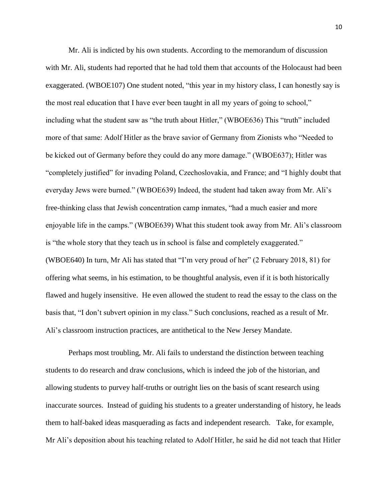Mr. Ali is indicted by his own students. According to the memorandum of discussion with Mr. Ali, students had reported that he had told them that accounts of the Holocaust had been exaggerated. (WBOE107) One student noted, "this year in my history class, I can honestly say is the most real education that I have ever been taught in all my years of going to school," including what the student saw as "the truth about Hitler," (WBOE636) This "truth" included more of that same: Adolf Hitler as the brave savior of Germany from Zionists who "Needed to be kicked out of Germany before they could do any more damage." (WBOE637); Hitler was "completely justified" for invading Poland, Czechoslovakia, and France; and "I highly doubt that everyday Jews were burned." (WBOE639) Indeed, the student had taken away from Mr. Ali's free-thinking class that Jewish concentration camp inmates, "had a much easier and more enjoyable life in the camps." (WBOE639) What this student took away from Mr. Ali's classroom is "the whole story that they teach us in school is false and completely exaggerated." (WBOE640) In turn, Mr Ali has stated that "I'm very proud of her" (2 February 2018, 81) for offering what seems, in his estimation, to be thoughtful analysis, even if it is both historically flawed and hugely insensitive. He even allowed the student to read the essay to the class on the basis that, "I don't subvert opinion in my class." Such conclusions, reached as a result of Mr. Ali's classroom instruction practices, are antithetical to the New Jersey Mandate.

Perhaps most troubling, Mr. Ali fails to understand the distinction between teaching students to do research and draw conclusions, which is indeed the job of the historian, and allowing students to purvey half-truths or outright lies on the basis of scant research using inaccurate sources. Instead of guiding his students to a greater understanding of history, he leads them to half-baked ideas masquerading as facts and independent research. Take, for example, Mr Ali's deposition about his teaching related to Adolf Hitler, he said he did not teach that Hitler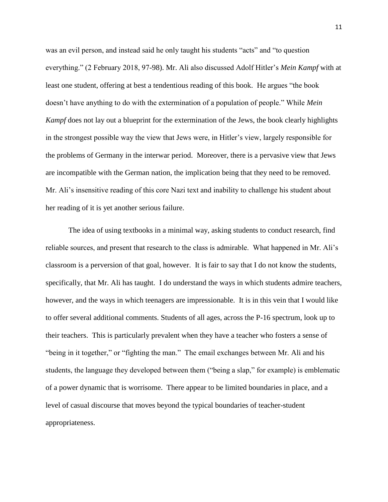was an evil person, and instead said he only taught his students "acts" and "to question everything." (2 February 2018, 97-98). Mr. Ali also discussed Adolf Hitler's *Mein Kampf* with at least one student, offering at best a tendentious reading of this book. He argues "the book doesn't have anything to do with the extermination of a population of people." While *Mein Kampf* does not lay out a blueprint for the extermination of the Jews, the book clearly highlights in the strongest possible way the view that Jews were, in Hitler's view, largely responsible for the problems of Germany in the interwar period. Moreover, there is a pervasive view that Jews are incompatible with the German nation, the implication being that they need to be removed. Mr. Ali's insensitive reading of this core Nazi text and inability to challenge his student about her reading of it is yet another serious failure.

The idea of using textbooks in a minimal way, asking students to conduct research, find reliable sources, and present that research to the class is admirable. What happened in Mr. Ali's classroom is a perversion of that goal, however. It is fair to say that I do not know the students, specifically, that Mr. Ali has taught. I do understand the ways in which students admire teachers, however, and the ways in which teenagers are impressionable. It is in this vein that I would like to offer several additional comments. Students of all ages, across the P-16 spectrum, look up to their teachers. This is particularly prevalent when they have a teacher who fosters a sense of "being in it together," or "fighting the man." The email exchanges between Mr. Ali and his students, the language they developed between them ("being a slap," for example) is emblematic of a power dynamic that is worrisome. There appear to be limited boundaries in place, and a level of casual discourse that moves beyond the typical boundaries of teacher-student appropriateness.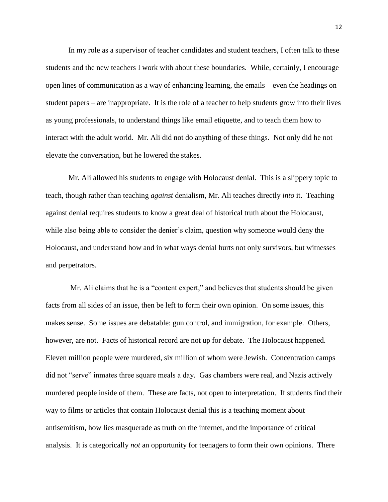In my role as a supervisor of teacher candidates and student teachers, I often talk to these students and the new teachers I work with about these boundaries. While, certainly, I encourage open lines of communication as a way of enhancing learning, the emails – even the headings on student papers – are inappropriate. It is the role of a teacher to help students grow into their lives as young professionals, to understand things like email etiquette, and to teach them how to interact with the adult world. Mr. Ali did not do anything of these things. Not only did he not elevate the conversation, but he lowered the stakes.

Mr. Ali allowed his students to engage with Holocaust denial. This is a slippery topic to teach, though rather than teaching *against* denialism, Mr. Ali teaches directly *into* it. Teaching against denial requires students to know a great deal of historical truth about the Holocaust, while also being able to consider the denier's claim, question why someone would deny the Holocaust, and understand how and in what ways denial hurts not only survivors, but witnesses and perpetrators.

Mr. Ali claims that he is a "content expert," and believes that students should be given facts from all sides of an issue, then be left to form their own opinion. On some issues, this makes sense. Some issues are debatable: gun control, and immigration, for example. Others, however, are not. Facts of historical record are not up for debate. The Holocaust happened. Eleven million people were murdered, six million of whom were Jewish. Concentration camps did not "serve" inmates three square meals a day. Gas chambers were real, and Nazis actively murdered people inside of them. These are facts, not open to interpretation. If students find their way to films or articles that contain Holocaust denial this is a teaching moment about antisemitism, how lies masquerade as truth on the internet, and the importance of critical analysis. It is categorically *not* an opportunity for teenagers to form their own opinions. There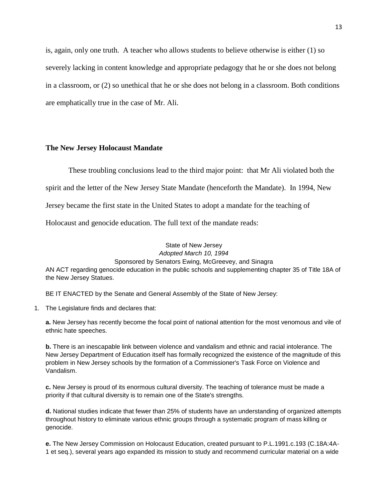is, again, only one truth. A teacher who allows students to believe otherwise is either (1) so severely lacking in content knowledge and appropriate pedagogy that he or she does not belong in a classroom, or (2) so unethical that he or she does not belong in a classroom. Both conditions are emphatically true in the case of Mr. Ali.

## **The New Jersey Holocaust Mandate**

These troubling conclusions lead to the third major point: that Mr Ali violated both the

spirit and the letter of the New Jersey State Mandate (henceforth the Mandate). In 1994, New

Jersey became the first state in the United States to adopt a mandate for the teaching of

Holocaust and genocide education. The full text of the mandate reads:

#### State of New Jersey *Adopted March 10, 1994* Sponsored by Senators Ewing, McGreevey, and Sinagra

AN ACT regarding genocide education in the public schools and supplementing chapter 35 of Title 18A of the New Jersey Statues.

BE IT ENACTED by the Senate and General Assembly of the State of New Jersey:

1. The Legislature finds and declares that:

**a.** New Jersey has recently become the focal point of national attention for the most venomous and vile of ethnic hate speeches.

**b.** There is an inescapable link between violence and vandalism and ethnic and racial intolerance. The New Jersey Department of Education itself has formally recognized the existence of the magnitude of this problem in New Jersey schools by the formation of a Commissioner's Task Force on Violence and Vandalism.

**c.** New Jersey is proud of its enormous cultural diversity. The teaching of tolerance must be made a priority if that cultural diversity is to remain one of the State's strengths.

**d.** National studies indicate that fewer than 25% of students have an understanding of organized attempts throughout history to eliminate various ethnic groups through a systematic program of mass killing or genocide.

**e.** The New Jersey Commission on Holocaust Education, created pursuant to P.L.1991.c.193 (C.18A:4A-1 et seq.), several years ago expanded its mission to study and recommend curricular material on a wide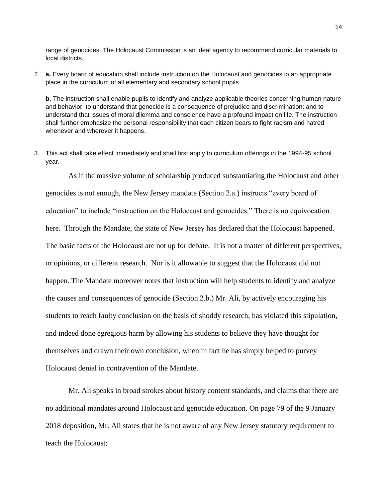range of genocides. The Holocaust Commission is an ideal agency to recommend curricular materials to local districts.

2. **a.** Every board of education shall include instruction on the Holocaust and genocides in an appropriate place in the curriculum of all elementary and secondary school pupils.

**b.** The instruction shall enable pupils to identify and analyze applicable theories concerning human nature and behavior: to understand that genocide is a consequence of prejudice and discrimination: and to understand that issues of moral dilemma and conscience have a profound impact on life. The instruction shall further emphasize the personal responsibility that each citizen bears to fight racism and hatred whenever and wherever it happens.

3. This act shall take effect immediately and shall first apply to curriculum offerings in the 1994-95 school year.

As if the massive volume of scholarship produced substantiating the Holocaust and other genocides is not enough, the New Jersey mandate (Section 2.a.) instructs "every board of education" to include "instruction on the Holocaust and genocides." There is no equivocation here. Through the Mandate, the state of New Jersey has declared that the Holocaust happened. The basic facts of the Holocaust are not up for debate. It is not a matter of different perspectives, or opinions, or different research. Nor is it allowable to suggest that the Holocaust did not happen. The Mandate moreover notes that instruction will help students to identify and analyze the causes and consequences of genocide (Section 2.b.) Mr. Ali, by actively encouraging his students to reach faulty conclusion on the basis of shoddy research, has violated this stipulation, and indeed done egregious harm by allowing his students to believe they have thought for themselves and drawn their own conclusion, when in fact he has simply helped to purvey Holocaust denial in contravention of the Mandate.

Mr. Ali speaks in broad strokes about history content standards, and claims that there are no additional mandates around Holocaust and genocide education. On page 79 of the 9 January 2018 deposition, Mr. Ali states that he is not aware of any New Jersey statutory requirement to teach the Holocaust: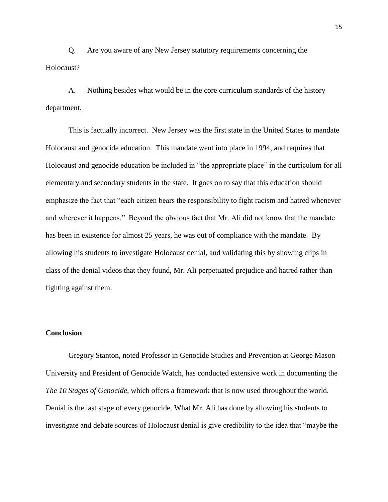Q. Are you aware of any New Jersey statutory requirements concerning the Holocaust?

A. Nothing besides what would be in the core curriculum standards of the history department.

This is factually incorrect. New Jersey was the first state in the United States to mandate Holocaust and genocide education. This mandate went into place in 1994, and requires that Holocaust and genocide education be included in "the appropriate place" in the curriculum for all elementary and secondary students in the state. It goes on to say that this education should emphasize the fact that "each citizen bears the responsibility to fight racism and hatred whenever and wherever it happens." Beyond the obvious fact that Mr. Ali did not know that the mandate has been in existence for almost 25 years, he was out of compliance with the mandate. By allowing his students to investigate Holocaust denial, and validating this by showing clips in class of the denial videos that they found, Mr. Ali perpetuated prejudice and hatred rather than fighting against them.

## **Conclusion**

Gregory Stanton, noted Professor in Genocide Studies and Prevention at George Mason University and President of Genocide Watch, has conducted extensive work in documenting the *The 10 Stages of Genocide*, which offers a framework that is now used throughout the world. Denial is the last stage of every genocide. What Mr. Ali has done by allowing his students to investigate and debate sources of Holocaust denial is give credibility to the idea that "maybe the